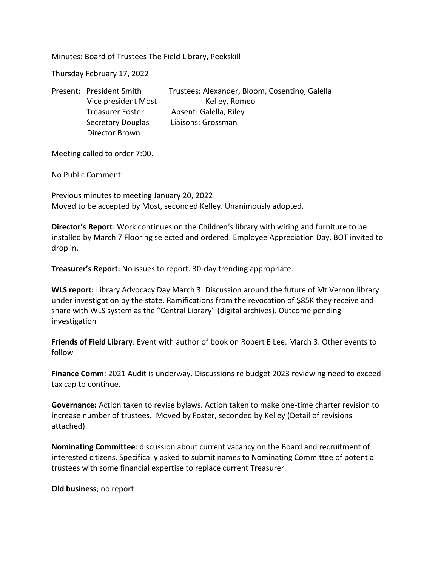Minutes: Board of Trustees The Field Library, Peekskill

Thursday February 17, 2022

Secretary Douglas Liaisons: Grossman Director Brown

Present: President Smith Trustees: Alexander, Bloom, Cosentino, Galella Vice president Most Kelley, Romeo Treasurer Foster Absent: Galella, Riley

Meeting called to order 7:00.

No Public Comment.

Previous minutes to meeting January 20, 2022 Moved to be accepted by Most, seconded Kelley. Unanimously adopted.

**Director's Report**: Work continues on the Children's library with wiring and furniture to be installed by March 7 Flooring selected and ordered. Employee Appreciation Day, BOT invited to drop in.

**Treasurer's Report:** No issues to report. 30-day trending appropriate.

**WLS report:** Library Advocacy Day March 3. Discussion around the future of Mt Vernon library under investigation by the state. Ramifications from the revocation of \$85K they receive and share with WLS system as the "Central Library" (digital archives). Outcome pending investigation

**Friends of Field Library**: Event with author of book on Robert E Lee. March 3. Other events to follow

**Finance Comm**: 2021 Audit is underway. Discussions re budget 2023 reviewing need to exceed tax cap to continue.

**Governance:** Action taken to revise bylaws. Action taken to make one-time charter revision to increase number of trustees. Moved by Foster, seconded by Kelley (Detail of revisions attached).

**Nominating Committee**: discussion about current vacancy on the Board and recruitment of interested citizens. Specifically asked to submit names to Nominating Committee of potential trustees with some financial expertise to replace current Treasurer.

**Old business**; no report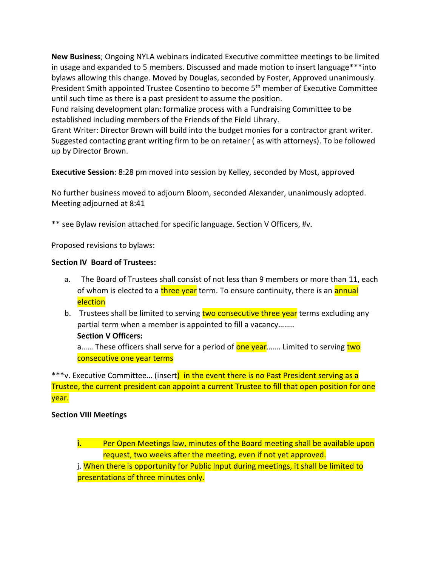**New Business**; Ongoing NYLA webinars indicated Executive committee meetings to be limited in usage and expanded to 5 members. Discussed and made motion to insert language\*\*\*into bylaws allowing this change. Moved by Douglas, seconded by Foster, Approved unanimously. President Smith appointed Trustee Cosentino to become 5<sup>th</sup> member of Executive Committee until such time as there is a past president to assume the position.

Fund raising development plan: formalize process with a Fundraising Committee to be established including members of the Friends of the Field Lihrary.

Grant Writer: Director Brown will build into the budget monies for a contractor grant writer. Suggested contacting grant writing firm to be on retainer ( as with attorneys). To be followed up by Director Brown.

**Executive Session**: 8:28 pm moved into session by Kelley, seconded by Most, approved

No further business moved to adjourn Bloom, seconded Alexander, unanimously adopted. Meeting adjourned at 8:41

\*\* see Bylaw revision attached for specific language. Section V Officers, #v.

Proposed revisions to bylaws:

## **Section IV Board of Trustees:**

- a. The Board of Trustees shall consist of not less than 9 members or more than 11, each of whom is elected to a three year term. To ensure continuity, there is an annual election
- b. Trustees shall be limited to serving two consecutive three year terms excluding any partial term when a member is appointed to fill a vacancy……..

## **Section V Officers:**

a...... These officers shall serve for a period of **one year**....... Limited to serving two consecutive one year terms

\*\*\*v. Executive Committee... (insert) in the event there is no Past President serving as a Trustee, the current president can appoint a current Trustee to fill that open position for one year.

## **Section VIII Meetings**

**i.** Per Open Meetings law, minutes of the Board meeting shall be available upon request, two weeks after the meeting, even if not yet approved.

j. When there is opportunity for Public Input during meetings, it shall be limited to presentations of three minutes only.